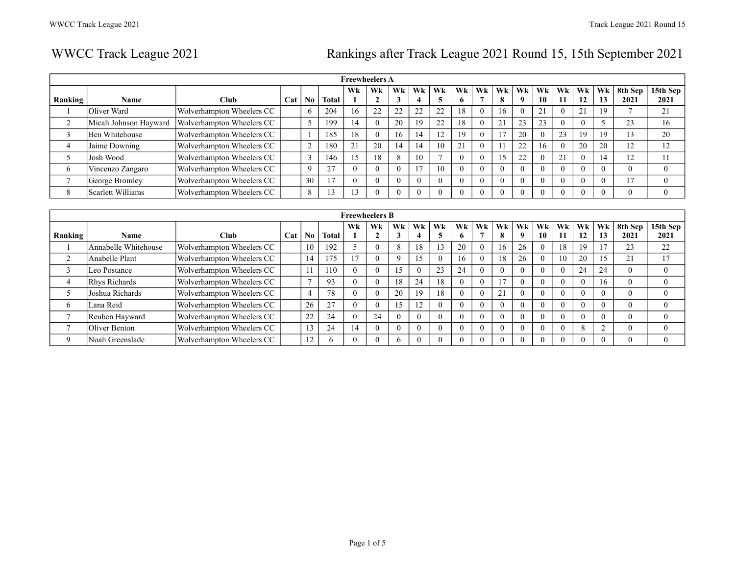# WWCC Track League 2021 Rankings after Track League 2021 Round 15, 15th September 2021

|         |                       |                           |     |          |               |              | <b>Freewheelers A</b> |                     |    |    |          |          |          |                    |          |          |          |          |                 |                  |
|---------|-----------------------|---------------------------|-----|----------|---------------|--------------|-----------------------|---------------------|----|----|----------|----------|----------|--------------------|----------|----------|----------|----------|-----------------|------------------|
| Ranking | Name                  | <b>Club</b>               | Cat | No       | <b>Total</b>  | Wk           | Wk                    | Wk                  | Wk | Wk | Wk<br>6  | Wk       | Wk<br>8  | Wk<br>$\mathbf{o}$ | Wk<br>10 | Wk<br>11 | Wk<br>12 | Wk<br>13 | 8th Sep<br>2021 | 15th Sep<br>2021 |
|         | Oliver Ward           | Wolverhampton Wheelers CC |     | . რ      | 204           | 16           | 22                    | $\mathcal{L}$       | 22 | 22 | 18       |          | 16       |                    | 21       | $\Omega$ | 21       | 19       |                 | 21               |
|         | Micah Johnson Hayward | Wolverhampton Wheelers CC |     |          | 199           | 14           | $\Omega$              | 20                  | 19 | 22 | 18       |          | 21       | 23                 | 23       | $\theta$ |          |          | 23              | 16               |
|         | Ben Whitehouse        | Wolverhampton Wheelers CC |     |          | 185           | 18           | $\Omega$              | 16                  | 14 | 12 | 19       |          | 17       | 20                 |          | 23       | 19       | 19       | 13              | 20               |
| 4       | Jaime Downing         | Wolverhampton Wheelers CC |     | $\sim$   | 180           | $^{\circ}$ 1 | 20                    | 14                  | 14 | 10 | 21       |          |          | 22                 | 16       | $\theta$ | 20       | 20       | 12              | 12               |
|         | Josh Wood             | Wolverhampton Wheelers CC |     | $\sim$   | 146           | 15           | 18                    | $\Omega$<br>$\circ$ | 10 |    | $\Omega$ |          | 15       | 22                 |          | 21       |          | 14       | 12              | 11               |
| 6       | Vincenzo Zangaro      | Wolverhampton Wheelers CC |     | $\Omega$ | $\mathcal{L}$ |              | $\Omega$              | $\Omega$            |    | 10 |          |          | $\Omega$ | $\Omega$           |          | $\Omega$ |          |          |                 | $\theta$         |
|         | George Bromley        | Wolverhampton Wheelers CC |     | 30       |               |              | $\Omega$              | $\Omega$            |    |    |          | $\Omega$ | $\theta$ |                    |          | $\theta$ |          |          | 17              | $\theta$         |
| 8       | Scarlett Williams     | Wolverhampton Wheelers CC |     | 8        |               | 3            |                       |                     |    |    |          |          | $\Omega$ |                    |          | $\Omega$ |          |          |                 | $\theta$         |

|         |                      |                           |     |                          |              |                | <b>Freewheelers B</b> |          |                |    |          |          |          |          |          |          |          |          |                 |                  |
|---------|----------------------|---------------------------|-----|--------------------------|--------------|----------------|-----------------------|----------|----------------|----|----------|----------|----------|----------|----------|----------|----------|----------|-----------------|------------------|
| Ranking | <b>Name</b>          | Club                      | Cat | N <sub>0</sub>           | <b>Total</b> | Wk             | Wk                    | Wk<br>J  | Wk             | Wk | Wk<br>6  | Wk       | Wk<br>8  | Wk<br>9  | Wk<br>10 | Wk<br>11 | Wk<br>12 | Wk<br>13 | 8th Sep<br>2021 | 15th Sep<br>2021 |
|         | Annabelle Whitehouse | Wolverhampton Wheelers CC |     | 10                       | 192          |                | $\theta$              | 8        | 18             | 13 | 20       | $\theta$ | 16       | 26       |          | 18       | 19       |          | 23              | 22               |
|         | Anabelle Plant       | Wolverhampton Wheelers CC |     | 14                       | 175          | 1 <sub>7</sub> | $\Omega$              | $\Omega$ | 15             |    | 16       | $\Omega$ | 18       | 26       |          | 10       | 20       | 15       | 21              | 17               |
|         | Leo Postance         | Wolverhampton Wheelers CC |     |                          | 110          |                | $\Omega$              | 15       |                | 23 | 24       |          | $\Omega$ |          |          | $\theta$ | 24       | 24       | $\theta$        |                  |
|         | <b>Rhys Richards</b> | Wolverhampton Wheelers CC |     | $\overline{\phantom{0}}$ | 93           |                | $\Omega$              | 18       | 24             | 18 |          |          |          | $\Omega$ |          | $\theta$ |          | 16       | $\theta$        |                  |
|         | Joshua Richards      | Wolverhampton Wheelers CC |     | 4                        | 78           |                | $\Omega$              | 20       | 19             | 18 | $\Omega$ |          | 21       | $\Omega$ |          | $\theta$ |          | $\Omega$ | $\theta$        |                  |
| 6       | Lana Reid            | Wolverhampton Wheelers CC |     | 26                       | 27           |                | $\theta$              | 15       | 1 <sub>2</sub> |    | $\theta$ | $\Omega$ | $\Omega$ | $\Omega$ |          | $\theta$ |          |          | $\theta$        |                  |
|         | Reuben Hayward       | Wolverhampton Wheelers CC |     | 22                       | 24           |                | 24                    | $\theta$ |                |    | -0       | $\Omega$ | $\theta$ | $\theta$ |          | $\theta$ |          |          | $\theta$        | $\theta$         |
|         | Oliver Benton        | Wolverhampton Wheelers CC |     | 13                       | 24           | 14             | $\Omega$              | $\Omega$ |                |    | $\Omega$ | $\Omega$ | $\theta$ | $\Omega$ |          | $\theta$ |          | $\sim$   | $\theta$        | $\Omega$         |
| Q       | Noah Greenslade      | Wolverhampton Wheelers CC |     | 12                       |              |                | $\Omega$              | h        |                |    | $\theta$ | $\Omega$ | $\theta$ | $\Omega$ |          | $\theta$ |          |          | $\theta$        | $\theta$         |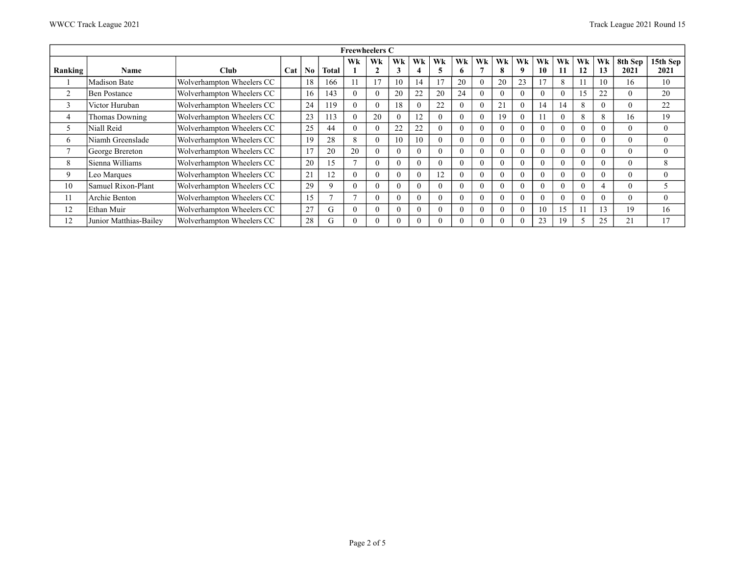|                          |                        |                           |     |           |       | <b>Freewheelers C</b> |          |          |                    |          |          |    |          |          |          |          |          |          |                 |                  |
|--------------------------|------------------------|---------------------------|-----|-----------|-------|-----------------------|----------|----------|--------------------|----------|----------|----|----------|----------|----------|----------|----------|----------|-----------------|------------------|
| Ranking                  | <b>Name</b>            | <b>Club</b>               | Cat | $\bf N_0$ | Total | Wk                    | Wk<br>C  | Wk<br>3  | Wk                 | Wk       | Wk<br>o. | Wk | Wk<br>8  | Wk       | Wk<br>10 | Wk<br>11 | Wk<br>12 | Wk<br>13 | 8th Sep<br>2021 | 15th Sep<br>2021 |
|                          | Madison Bate           | Wolverhampton Wheelers CC |     | 18        | 166   |                       | 17       | 10       | 14                 |          | 20       |    | 20       | 23       | 7        | 8        |          | 10       | 16              | 10               |
| $\overline{c}$           | <b>Ben Postance</b>    | Wolverhampton Wheelers CC |     | 16        | 143   |                       | $\Omega$ | 20       | 22                 | 20       | 24       |    | $\theta$ | $\Omega$ | 0        | $\theta$ |          | 22       | $\theta$        | 20               |
| $\sim$<br>$\mathfrak{I}$ | Victor Huruban         | Wolverhampton Wheelers CC |     | 24        | 119   |                       | $\Omega$ | 18       | $\theta$           | 22       | $\left($ |    | 21       |          | 14       | 14       | 8        | $\Omega$ | $\theta$        | 22               |
| 4                        | <b>Thomas Downing</b>  | Wolverhampton Wheelers CC |     | 23        | 113   |                       | 20       | $\theta$ | 12                 | $\theta$ | $\theta$ |    | 19       | $\Omega$ |          | $\theta$ | 8        | 8        | 16              | 19               |
| 5                        | Niall Reid             | Wolverhampton Wheelers CC |     | 25        | 44    |                       | $\Omega$ | 22       | 22                 | $\theta$ | $\left($ |    | $\theta$ | $\Omega$ | $^{(1)}$ | $\Omega$ | -0       | $\Omega$ | $\theta$        | $\mathbf{0}$     |
| 6                        | Niamh Greenslade       | Wolverhampton Wheelers CC |     | 19        | 28    | 8                     | $\Omega$ | 10       | 10                 | $\theta$ | $\theta$ |    | $\theta$ | $\Omega$ | 0.       | $\theta$ | 0        | $\Omega$ | $\theta$        | $\mathbf{0}$     |
| n,                       | George Brereton        | Wolverhampton Wheelers CC |     | 17        | 20    | 20                    | $\Omega$ | $\Omega$ | $\theta$           | 0        | $\Omega$ |    | $\Omega$ | $\Omega$ | 0        | $\theta$ | 0        | $\Omega$ |                 | $\theta$         |
| 8                        | Sienna Williams        | Wolverhampton Wheelers CC |     | 20        | 15    |                       | $\Omega$ | $\theta$ | $\left( 0 \right)$ | $\theta$ | $\theta$ |    | $\theta$ | $\theta$ | 0        | $\theta$ | -0       | $\Omega$ | $\mathbf{0}$    | 8                |
| 9                        | Leo Marques            | Wolverhampton Wheelers CC |     | 21        | 12    |                       | $\Omega$ | $\Omega$ | $\Omega$           | 12       | $\Omega$ |    | $\Omega$ | $\Omega$ | 0        | $\theta$ | $\Omega$ | $\Omega$ | $\Omega$        | $\theta$         |
| 10                       | Samuel Rixon-Plant     | Wolverhampton Wheelers CC |     | 29        | 9     |                       | $\Omega$ | $\Omega$ | 0                  | $\Omega$ | $\Omega$ |    | $\Omega$ | $\Omega$ | 0        | $\Omega$ | $\Omega$ | 4        | $\theta$        | 5                |
| 11                       | Archie Benton          | Wolverhampton Wheelers CC |     | 15        |       |                       | $\Omega$ | $\Omega$ | $\theta$           | $\Omega$ | $\theta$ |    | $\theta$ | $\Omega$ | 0        | $\theta$ | 0        | $\Omega$ | $\theta$        | $\overline{0}$   |
| 12                       | Ethan Muir             | Wolverhampton Wheelers CC |     | 27        | G     |                       | $\Omega$ | $\Omega$ | $\Omega$           | 0        | $\Omega$ |    | $\theta$ | $\Omega$ | 10       | 15       |          | 13       | 19              | 16               |
| 12                       | Junior Matthias-Bailey | Wolverhampton Wheelers CC |     | 28        | СŤ    |                       |          |          |                    |          |          |    | $\theta$ |          | 23       | 19       |          | 25       | 21              | 17               |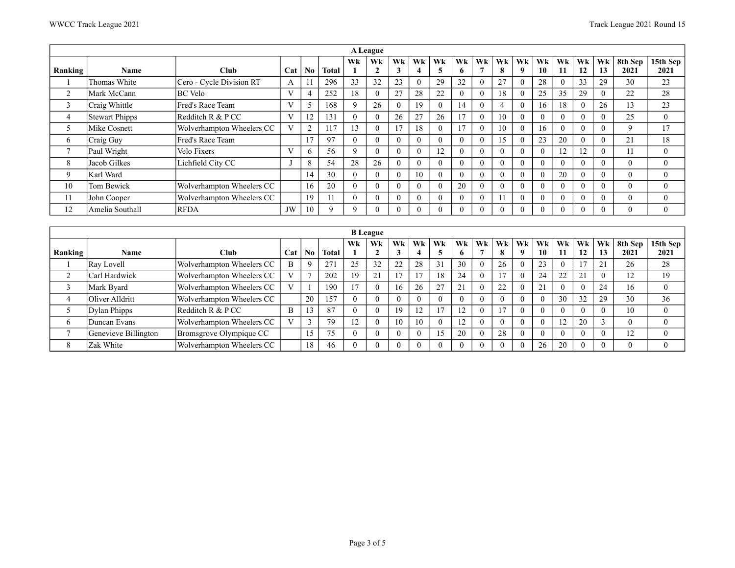|                |                       |                           |     |                |              |                 | A League             |          |          |                |          |          |          |          |          |          |            |          |                 |                  |
|----------------|-----------------------|---------------------------|-----|----------------|--------------|-----------------|----------------------|----------|----------|----------------|----------|----------|----------|----------|----------|----------|------------|----------|-----------------|------------------|
| Ranking        | Name                  | <b>Club</b>               | Cat | $\bf No$       | <b>Total</b> | Wk              | Wk<br>$\overline{2}$ | Wk<br>3  | Wk<br>4  | Wk             | Wk<br>6  | Wk       | Wk<br>8  | Wk<br>9  | Wk<br>10 | Wk<br>11 | Wk<br>12   | Wk<br>13 | 8th Sep<br>2021 | 15th Sep<br>2021 |
|                | Thomas White          | Cero - Cycle Division RT  | A   |                | 296          | 33              | 32                   | 23       | $\Omega$ | 29             | 32       | $\Omega$ | 27       | $\Omega$ | 28       | $\theta$ | 33         | 29       | 30              | 23               |
| 2              | Mark McCann           | BC Velo                   | V   | $\overline{4}$ | 252          | 18              | $\theta$             | 27       | 28       | 22             | $\theta$ | $\Omega$ | 18       | $\theta$ | 25       | 35       | 29         | $\Omega$ | 22              | 28               |
| 3              | Craig Whittle         | Fred's Race Team          | V   |                | 168          | 9               | 26                   | $\Omega$ | 19       |                | 14       | $\Omega$ | 4        | $\theta$ | 16       | 18       | $\sqrt{ }$ | 26       | 13              | 23               |
| 4              | <b>Stewart Phipps</b> | Redditch $R & P CC$       | V   | 12             | 131          | $\Omega$        | $\Omega$             | 26       | 27       | 26             | 17       | $\Omega$ | 10       | $\Omega$ | $\Omega$ | $\Omega$ | $\Omega$   | $\Omega$ | 25              | $\theta$         |
|                | Mike Cosnett          | Wolverhampton Wheelers CC | V   | $\overline{2}$ | 117          | $\overline{13}$ | $\theta$             | 17       | 18       |                | 17       | $\theta$ | 10       | $\theta$ | 16       | $\theta$ | $\Omega$   | $\Omega$ | 9               | 17               |
| <sub>6</sub>   | Craig Guy             | Fred's Race Team          |     | 17             | 97           | $\Omega$        | $\Omega$             | $\Omega$ | $\Omega$ |                | $\theta$ | $\Omega$ | 15       | $\Omega$ | 23       | 20       | $\Omega$   | $\Omega$ | 21              | 18               |
| $\overline{ }$ | Paul Wright           | Velo Fixers               | V   | <sub>0</sub>   | 56           | 9               | $\Omega$             | 0        | $\Omega$ | $\overline{2}$ | $\theta$ | $\Omega$ | $\theta$ | $\theta$ | $\theta$ | 12       |            | $\Omega$ | 11              | $\mathbf{0}$     |
| 8              | Jacob Gilkes          | Lichfield City CC         |     | 8              | 54           | 28              | 26                   | $\Omega$ | $\Omega$ |                | $\theta$ | $\Omega$ | $\theta$ | $\Omega$ | $\Omega$ | $\theta$ | $\Omega$   | $\Omega$ | $\theta$        | $\theta$         |
| 9              | Karl Ward             |                           |     | 14             | 30           | $\Omega$        | $\Omega$             | 0        | 10       |                | $\theta$ | $\Omega$ | $\theta$ | $\Omega$ | $\theta$ | 20       | $\theta$   | $\Omega$ | $\theta$        | $\mathbf{0}$     |
| 10             | Tom Bewick            | Wolverhampton Wheelers CC |     | 16             | 20           | $\Omega$        | $\theta$             | $\Omega$ | $\Omega$ |                | 20       | $\Omega$ | $\theta$ | $\Omega$ | $\Omega$ | $\theta$ | $\Omega$   | $\Omega$ | $\theta$        | $\theta$         |
| 11             | John Cooper           | Wolverhampton Wheelers CC |     | 19             |              |                 | $\theta$             | $\Omega$ |          |                | $\theta$ | $\Omega$ | 11       | $\Omega$ | $\Omega$ | $\theta$ | $\Omega$   | $\Omega$ | $\theta$        | $\mathbf{0}$     |
| 12             | Amelia Southall       | <b>RFDA</b>               | JW  | 10             | Q            | $\Omega$        | 0                    |          |          |                | $\theta$ | $\Omega$ | $\theta$ | $\theta$ | $\Omega$ | $\theta$ | $\Omega$   | $\Omega$ | $\theta$        | $\theta$         |

|         |                      |                           |              |           |       |                | <b>B</b> League |    |    |               |                    |    |          |          |          |          |          |              |                     |                  |
|---------|----------------------|---------------------------|--------------|-----------|-------|----------------|-----------------|----|----|---------------|--------------------|----|----------|----------|----------|----------|----------|--------------|---------------------|------------------|
| Ranking | <b>Name</b>          | <b>Club</b>               | Cat          | $\bf N_0$ | Total | Wk             | Wk              | Wk | Wk | Wk            | Wk<br>$\mathbf{o}$ | Wk | Wk<br>8  | Wk<br>-9 | Wk<br>10 | Wk<br>11 | Wk<br>12 | Wk<br>13     | 8th Sep<br>2021     | 15th Sep<br>2021 |
|         | Ray Lovell           | Wolverhampton Wheelers CC | B            |           | 271   | 25             | 32              | 22 | 28 |               | 30                 |    | 26       | $\theta$ | 23       |          |          | $^{\circ}$ 1 | 26                  | 28               |
|         | Carl Hardwick        | Wolverhampton Wheelers CC | XT.          |           | 202   | 19             | 21              |    |    | 18            | 24                 |    |          |          | 24       | 22       | 21       |              | 12                  | 19               |
|         | Mark Byard           | Wolverhampton Wheelers CC |              |           | 190   | $\overline{7}$ |                 | 16 | 26 | $\mathcal{L}$ | 21                 |    | 22       | $\theta$ |          |          |          | 24           | 16                  | $\mathbf{0}$     |
|         | Oliver Alldritt      | Wolverhampton Wheelers CC |              | 20        | 157   |                |                 |    |    |               | $\theta$           |    | $\theta$ |          |          | 30       | 32       | 29           | 30                  | 36               |
|         | Dylan Phipps         | Redditch $R & PCC$        | B            |           | 87    |                |                 | 19 | 12 |               | 12<br>14           |    |          |          |          |          |          |              | 10                  | $\theta$         |
| 6       | Duncan Evans         | Wolverhampton Wheelers CC | $\mathbf{X}$ |           | 79    | 12             |                 | 10 | 10 |               | 12                 |    | $\theta$ | 0        |          | 12       | 20       |              | $\theta$            |                  |
|         | Genevieve Billington | Bromsgrove Olympique CC   |              |           | 75    |                |                 |    |    |               | 20                 |    | 28       |          |          |          |          |              | $\overline{1}$<br>╹ |                  |
| 8       | Zak White            | Wolverhampton Wheelers CC |              | 18        | 46    |                |                 |    |    |               | $\theta$           |    | $\theta$ |          | 26       | 20       |          |              | $\mathbf{0}$        |                  |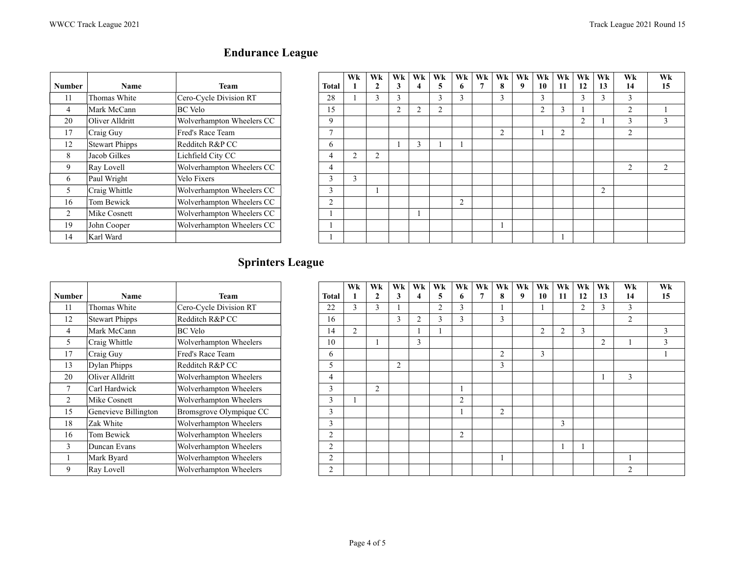| <b>Number</b>  | Name                  | <b>Team</b>               | Total          | <b>WK</b>      | <b>Wk</b>      | Wk.<br>3 | Wk.            | Wk.<br>5 | Wk<br>6        | $Wk+W$<br>7 | 8              |
|----------------|-----------------------|---------------------------|----------------|----------------|----------------|----------|----------------|----------|----------------|-------------|----------------|
| 11             | Thomas White          | Cero-Cycle Division RT    | 28             |                | 3              | 3        |                | 3        | 3              |             | 3              |
| 4              | Mark McCann           | BC Velo                   | 15             |                |                | 2        | $\overline{2}$ | 2        |                |             |                |
| 20             | Oliver Alldritt       | Wolverhampton Wheelers CC | 9              |                |                |          |                |          |                |             |                |
| 17             | Craig Guy             | Fred's Race Team          | 7              |                |                |          |                |          |                |             | $\overline{2}$ |
| 12             | <b>Stewart Phipps</b> | Redditch R&P CC           | 6              |                |                |          | 3              | ш        |                |             |                |
| 8              | Jacob Gilkes          | Lichfield City CC         | 4              | $\overline{2}$ | $\overline{2}$ |          |                |          |                |             |                |
| 9              | Ray Lovell            | Wolverhampton Wheelers CC | 4              |                |                |          |                |          |                |             |                |
| 6              | Paul Wright           | Velo Fixers               | 3              | 3              |                |          |                |          |                |             |                |
| 5              | Craig Whittle         | Wolverhampton Wheelers CC | 3              |                |                |          |                |          |                |             |                |
| 16             | Tom Bewick            | Wolverhampton Wheelers CC | $\overline{2}$ |                |                |          |                |          | $\overline{2}$ |             |                |
| $\mathfrak{D}$ | Mike Cosnett          | Wolverhampton Wheelers CC |                |                |                |          |                |          |                |             |                |
| 19             | John Cooper           | Wolverhampton Wheelers CC |                |                |                |          |                |          |                |             |                |
| 14             | Karl Ward             |                           |                |                |                |          |                |          |                |             |                |

## **Endurance League**

| mber           | Name            | Team                      | Total                | Wk | Wk<br>$\mathbf{2}$ | Wk<br>3 | Wk<br>4 | Wk<br>C.       | Wk<br>o        | Wk | Wk<br>8       | Wk<br>9 | Wk<br>10      | Wk<br>11 | Wk<br>12       | Wk<br>13  | Wk<br>14 | Wk<br>15 |
|----------------|-----------------|---------------------------|----------------------|----|--------------------|---------|---------|----------------|----------------|----|---------------|---------|---------------|----------|----------------|-----------|----------|----------|
| 11             | Thomas White    | Cero-Cycle Division RT    | 28                   |    |                    | 3       |         | 3              |                |    | $\sim$        |         | ◠             |          | 3              |           | $\sim$   |          |
| 4              | Mark McCann     | <b>BC</b> Velo            | 15                   |    |                    | 2       |         | $\overline{c}$ |                |    |               |         | $\mathcal{D}$ | $\sim$   |                |           | $\sim$   |          |
| 20             | Oliver Alldritt | Wolverhampton Wheelers CC | 9                    |    |                    |         |         |                |                |    |               |         |               |          | $\overline{2}$ |           | $\sim$   |          |
| 17             | Craig Guy       | Fred's Race Team          | $\mathbf{r}$         |    |                    |         |         |                |                |    | $\mathcal{L}$ |         |               | $\sim$   |                |           | 2        |          |
| 12             | Stewart Phipps  | Redditch R&P CC           | <sub>0</sub>         |    |                    |         |         |                |                |    |               |         |               |          |                |           |          |          |
| 8              | Jacob Gilkes    | Lichfield City CC         | 4                    |    | ◠                  |         |         |                |                |    |               |         |               |          |                |           |          |          |
| 9              | Ray Lovell      | Wolverhampton Wheelers CC | 4                    |    |                    |         |         |                |                |    |               |         |               |          |                |           | ◠        | 2        |
| 6              | Paul Wright     | Velo Fixers               | $\overline{ }$<br>C. |    |                    |         |         |                |                |    |               |         |               |          |                |           |          |          |
| 5              | Craig Whittle   | Wolverhampton Wheelers CC | $\rightarrow$<br>J.  |    |                    |         |         |                |                |    |               |         |               |          |                | $\bigcap$ |          |          |
| 16             | Tom Bewick      | Wolverhampton Wheelers CC | $\bigcap$<br>∠       |    |                    |         |         |                | $\overline{2}$ |    |               |         |               |          |                |           |          |          |
| $\overline{2}$ | Mike Cosnett    | Wolverhampton Wheelers CC |                      |    |                    |         |         |                |                |    |               |         |               |          |                |           |          |          |
| 19             | John Cooper     | Wolverhampton Wheelers CC |                      |    |                    |         |         |                |                |    |               |         |               |          |                |           |          |          |
| 14             | Karl Ward       |                           |                      |    |                    |         |         |                |                |    |               |         |               |          |                |           |          |          |

## **Sprinters League**

|        |                       |                         |                | Wk             | Wk | Wk             | Wk | Wk | Wk | Wk | W              |
|--------|-----------------------|-------------------------|----------------|----------------|----|----------------|----|----|----|----|----------------|
| Number | Name                  | <b>Team</b>             | Total          | 1              | 2  | 3              |    | 5  | 6  |    | 8              |
| 11     | Thomas White          | Cero-Cycle Division RT  | 22             | 3              | 3  |                |    | 2  | 3  |    |                |
| 12     | <b>Stewart Phipps</b> | Redditch R&P CC         | 16             |                |    | 3              | 2  | 3  | 3  |    | 3              |
| 4      | Mark McCann           | <b>BC</b> Velo          | 14             | $\overline{2}$ |    |                |    | 1  |    |    |                |
| 5      | Craig Whittle         | Wolverhampton Wheelers  | 10             |                |    |                | 3  |    |    |    |                |
| 17     | Craig Guy             | Fred's Race Team        | 6              |                |    |                |    |    |    |    | $\overline{2}$ |
| 13     | Dylan Phipps          | Redditch R&P CC         | 5              |                |    | $\overline{2}$ |    |    |    |    | $\overline{3}$ |
| 20     | Oliver Alldritt       | Wolverhampton Wheelers  | 4              |                |    |                |    |    |    |    |                |
| 7      | Carl Hardwick         | Wolverhampton Wheelers  | 3              |                | 2  |                |    |    |    |    |                |
| 2      | Mike Cosnett          | Wolverhampton Wheelers  | 3              |                |    |                |    |    | 2  |    |                |
| 15     | Genevieve Billington  | Bromsgrove Olympique CC | 3              |                |    |                |    |    |    |    | $\overline{2}$ |
| 18     | Zak White             | Wolverhampton Wheelers  | 3              |                |    |                |    |    |    |    |                |
| 16     | Tom Bewick            | Wolverhampton Wheelers  | $\overline{2}$ |                |    |                |    |    | 2  |    |                |
| 3      | Duncan Evans          | Wolverhampton Wheelers  | $\overline{2}$ |                |    |                |    |    |    |    |                |
|        | Mark Byard            | Wolverhampton Wheelers  | $\overline{c}$ |                |    |                |    |    |    |    |                |
| 9      | Ray Lovell            | Wolverhampton Wheelers  | $\overline{c}$ |                |    |                |    |    |    |    |                |

|                |                      |                         |                     | Wk     | <b>Wk</b>               | Wk             | Wk | Wk             | Wk             | Wk | Wk             | Wk | Wk        | Wk | Wk        | Wk | Wk             | Wk |
|----------------|----------------------|-------------------------|---------------------|--------|-------------------------|----------------|----|----------------|----------------|----|----------------|----|-----------|----|-----------|----|----------------|----|
| mber           | <b>Name</b>          | Team                    | <b>Total</b>        |        | ി                       | 3              |    | 5              | 6.             |    | 8              | 9  | 10        | 11 | 12        | 13 | 14             | 15 |
| 11             | Thomas White         | Cero-Cycle Division RT  | 22                  |        | $\sim$<br>$\rightarrow$ |                |    | $\overline{c}$ | $\sim$         |    |                |    |           |    | $\bigcap$ |    | 3              |    |
| 12             | Stewart Phipps       | Redditch R&P CC         | 16                  |        |                         | 3              | ി  | 3              | 3              |    | 3              |    |           |    |           |    | 2              |    |
| 4              | Mark McCann          | <b>BC</b> Velo          | 14                  | $\sim$ |                         |                |    |                |                |    |                |    | $\bigcap$ | 2  | 3         |    |                | 3  |
| 5              | Craig Whittle        | Wolverhampton Wheelers  | 10                  |        |                         |                | 3  |                |                |    |                |    |           |    |           | 2  |                | 3  |
| 17             | Craig Guy            | Fred's Race Team        | 6                   |        |                         |                |    |                |                |    | $\overline{2}$ |    | 3         |    |           |    |                |    |
| 13             | <b>Dylan Phipps</b>  | Redditch R&P CC         |                     |        |                         | $\overline{2}$ |    |                |                |    | 3              |    |           |    |           |    |                |    |
| 20             | Oliver Alldritt      | Wolverhampton Wheelers  | 4                   |        |                         |                |    |                |                |    |                |    |           |    |           |    | 3              |    |
| 7              | Carl Hardwick        | Wolverhampton Wheelers  | 3                   |        | $\overline{2}$          |                |    |                |                |    |                |    |           |    |           |    |                |    |
| $\overline{c}$ | Mike Cosnett         | Wolverhampton Wheelers  | $\rightarrow$<br>J. |        |                         |                |    |                | $\overline{2}$ |    |                |    |           |    |           |    |                |    |
| 15             | Genevieve Billington | Bromsgrove Olympique CC | $\rightarrow$<br>J. |        |                         |                |    |                |                |    | $\overline{2}$ |    |           |    |           |    |                |    |
| 18             | Zak White            | Wolverhampton Wheelers  | 3                   |        |                         |                |    |                |                |    |                |    |           | 3  |           |    |                |    |
| 16             | Tom Bewick           | Wolverhampton Wheelers  | 2                   |        |                         |                |    |                | $\overline{2}$ |    |                |    |           |    |           |    |                |    |
| 3              | Duncan Evans         | Wolverhampton Wheelers  | 2                   |        |                         |                |    |                |                |    |                |    |           |    |           |    |                |    |
| 1              | Mark Byard           | Wolverhampton Wheelers  | 2                   |        |                         |                |    |                |                |    |                |    |           |    |           |    |                |    |
| 9              | Ray Lovell           | Wolverhampton Wheelers  | ◠                   |        |                         |                |    |                |                |    |                |    |           |    |           |    | $\overline{2}$ |    |